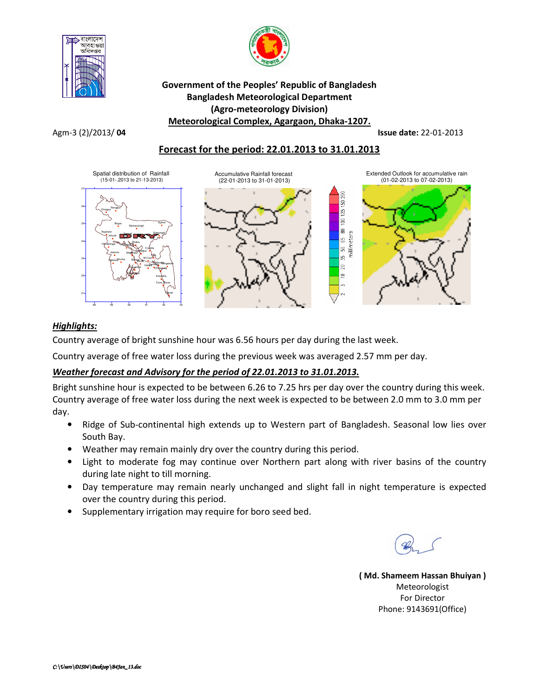



## Government of the Peoples' Republic of Bangladesh Bangladesh Meteorological Department (Agro-meteorology Division) Meteorological Complex, Agargaon, Dhaka-1207.

Agm-3 (2)/2013/ 04 Issue date: 22-01-2013

# Forecast for the period: 22.01.2013 to 31.01.2013



## Highlights:

Country average of bright sunshine hour was 6.56 hours per day during the last week.

Country average of free water loss during the previous week was averaged 2.57 mm per day.

# Weather forecast and Advisory for the period of 22.01.2013 to 31.01.2013.

Bright sunshine hour is expected to be between 6.26 to 7.25 hrs per day over the country during this week. Country average of free water loss during the next week is expected to be between 2.0 mm to 3.0 mm per day.

- Ridge of Sub-continental high extends up to Western part of Bangladesh. Seasonal low lies over South Bay.
- Weather may remain mainly dry over the country during this period.
- Light to moderate fog may continue over Northern part along with river basins of the country during late night to till morning.
- Day temperature may remain nearly unchanged and slight fall in night temperature is expected over the country during this period.
- Supplementary irrigation may require for boro seed bed.

( Md. Shameem Hassan Bhuiyan ) Meteorologist For Director Phone: 9143691(Office)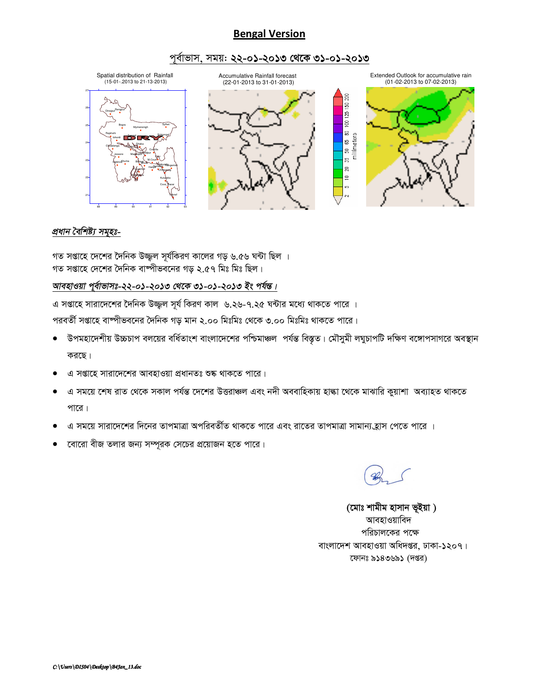# Bengal Version

## পূর্বাভাস, সময়: ২২-০১-২০১৩ থেকে ৩১-০১-২০১৩



## <u>প্ৰধান বৈশিষ্ট্য সমূহঃ-</u>

গত সপ্তাহে দেশের দৈনিক উজ্জ্বল সূর্যকিরণ কালের গড় ৬.৫৬ ঘন্টা ছিল । গত সপ্তাহে দেশের দৈনিক বাম্পীভবনের গড ২.৫৭ মিঃ মিঃ ছিল।

## আবহাওয়া পূৰ্বাভাসঃ-২২-০১-২০১৩ থেকে ৩১-০১-২০১৩ ইং পৰ্যন্ত।

এ সপ্তাহে সারাদেশের দৈনিক উজ্জ্বল সূর্য কিরণ কাল ৬.২৬-৭.২৫ ঘন্টার মধ্যে থাকতে পারে ।

পরবর্তী সপ্তাহে বাম্পীভবনের দৈনিক গড় মান ২.০০ মিঃমিঃ থেকে ৩.০০ মিঃমিঃ থাকতে পারে।

- উপমহাদেশীয় উচ্চচাপ বলয়ের বর্ধিতাংশ বাংলাদেশের পশ্চিমাঞ্চল পর্যন্ত বিস্তৃত। মৌসুমী লঘুচাপটি দক্ষিণ বঙ্গোপসাগরে অবস্থান করছে।
- এ সপ্তাহে সারাদেশের আবহাওয়া প্রধানতঃ শুষ্ক থাকতে পারে।
- এ সময়ে শেষ রাত থেকে সকাল পর্যন্ত দেশের উত্তরাঞ্চল এবং নদী অববাহিকায় হাল্কা থেকে মাঝারি কুয়াশা অব্যাহত থাকতে পারে।
- এ সময়ে সারাদেশের দিনের তাপমাত্রা অপরিবর্তীত থাকতে পারে এবং রাতের তাপমাত্রা সামান্য*হ্*যাস পেতে পারে ।
- ত্বোরো বীজ তলার জন্য সম্পূরক সেচের প্রয়োজন হতে পারে।

(মোঃ শামীম হাসান ভূইয়া) আবহাওয়াবিদ পরিচালকের পক্ষে বাংলাদেশ আবহাওয়া অধিদপ্তর, ঢাকা-১২০৭। কোনঃ ৯১৪৩৬৯১ (দপ্তর)